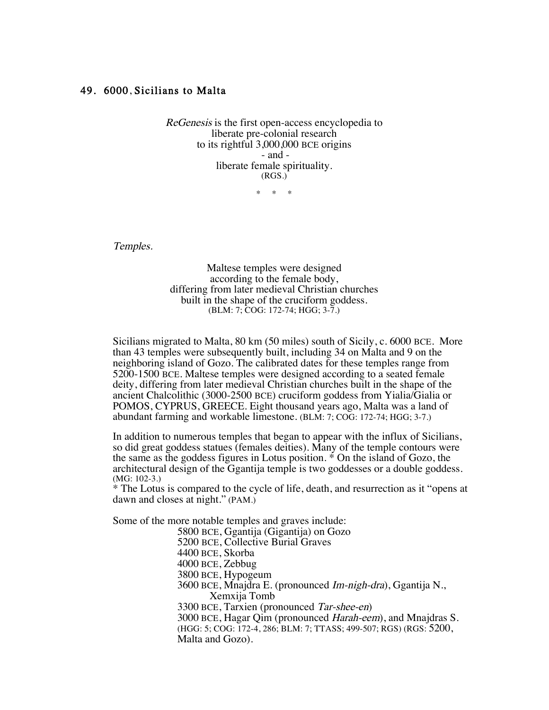## 49. 6000, Sicilians to Malta

ReGenesis is the first open-access encyclopedia to liberate pre-colonial research to its rightful 3,000,000 BCE origins - and liberate female spirituality. (RGS.)

\* \* \*

Temples.

Maltese temples were designed according to the female body, differing from later medieval Christian churches built in the shape of the cruciform goddess. (BLM: 7; COG: 172-74; HGG; 3-7.)

Sicilians migrated to Malta, 80 km (50 miles) south of Sicily, c. 6000 BCE. More than 43 temples were subsequently built, including 34 on Malta and 9 on the neighboring island of Gozo. The calibrated dates for these temples range from 5200-1500 BCE. Maltese temples were designed according to a seated female deity, differing from later medieval Christian churches built in the shape of the ancient Chalcolithic (3000-2500 BCE) cruciform goddess from Yialia/Gialia or POMOS, CYPRUS, GREECE. Eight thousand years ago, Malta was a land of abundant farming and workable limestone. (BLM: 7; COG: 172-74; HGG; 3-7.)

In addition to numerous temples that began to appear with the influx of Sicilians, so did great goddess statues (females deities). Many of the temple contours were the same as the goddess figures in Lotus position. \* On the island of Gozo, the architectural design of the Ggantija temple is two goddesses or a double goddess. (MG: 102-3.)

\* The Lotus is compared to the cycle of life, death, and resurrection as it "opens at dawn and closes at night." (PAM.)

Some of the more notable temples and graves include:

5800 BCE, Ggantija (Gigantija) on Gozo

5200 BCE, Collective Burial Graves

4400 BCE, Skorba

4000 BCE, Zebbug

3800 BCE, Hypogeum

3600 BCE, Mnajdra E. (pronounced Im-nigh-dra), Ggantija N., Xemxija Tomb

3300 BCE, Tarxien (pronounced Tar-shee-en)

3000 BCE, Hagar Qim (pronounced *Harah-eem*), and Mnajdras S.

(HGG: 5; COG: 172-4, 286; BLM: 7; TTASS; 499-507; RGS) (RGS: 5200, Malta and Gozo).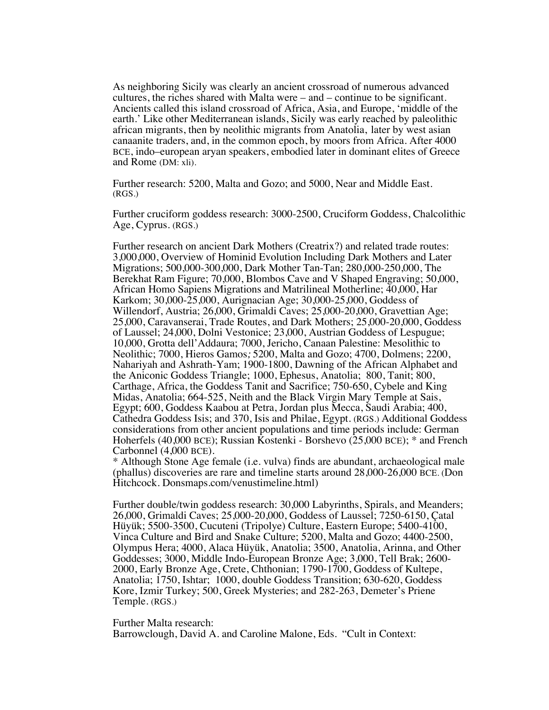As neighboring Sicily was clearly an ancient crossroad of numerous advanced cultures, the riches shared with Malta were – and – continue to be significant. Ancients called this island crossroad of Africa, Asia, and Europe, 'middle of the earth.' Like other Mediterranean islands, Sicily was early reached by paleolithic african migrants, then by neolithic migrants from Anatolia, later by west asian canaanite traders, and, in the common epoch, by moors from Africa. After 4000 BCE, indo–european aryan speakers, embodied later in dominant elites of Greece and Rome (DM: xli).

Further research: 5200, Malta and Gozo; and 5000, Near and Middle East. (RGS.)

Further cruciform goddess research: 3000-2500, Cruciform Goddess, Chalcolithic Age, Cyprus. (RGS.)

Further research on ancient Dark Mothers (Creatrix?) and related trade routes: 3,000,000, Overview of Hominid Evolution Including Dark Mothers and Later Migrations; 500,000-300,000, Dark Mother Tan-Tan; 280,000-250,000, The Berekhat Ram Figure; 70,000, Blombos Cave and V Shaped Engraving; 50,000, African Homo Sapiens Migrations and Matrilineal Motherline; 40,000, Har Karkom; 30,000-25,000, Aurignacian Age; 30,000-25,000, Goddess of Willendorf, Austria; 26,000, Grimaldi Caves; 25,000-20,000, Gravettian Age; 25,000, Caravanserai, Trade Routes, and Dark Mothers; 25,000-20,000, Goddess of Laussel; 24,000, Dolni Vestonice; 23,000, Austrian Goddess of Lespugue; 10,000, Grotta dell'Addaura; 7000, Jericho, Canaan Palestine: Mesolithic to Neolithic; 7000, Hieros Gamos; 5200, Malta and Gozo; 4700, Dolmens; 2200, Nahariyah and Ashrath-Yam; 1900-1800, Dawning of the African Alphabet and the Aniconic Goddess Triangle; 1000, Ephesus, Anatolia; 800, Tanit; 800, Carthage, Africa, the Goddess Tanit and Sacrifice; 750-650, Cybele and King Midas, Anatolia; 664-525, Neith and the Black Virgin Mary Temple at Sais, Egypt; 600, Goddess Kaabou at Petra, Jordan plus Mecca, Saudi Arabia; 400, Cathedra Goddess Isis; and 370, Isis and Philae, Egypt. (RGS.) Additional Goddess considerations from other ancient populations and time periods include: German Hoherfels (40,000 BCE); Russian Kostenki - Borshevo (25,000 BCE); \* and French Carbonnel (4,000 BCE).

\* Although Stone Age female (i.e. vulva) finds are abundant, archaeological male (phallus) discoveries are rare and timeline starts around 28,000-26,000 BCE. (Don Hitchcock. Donsmaps.com/venustimeline.html)

Further double/twin goddess research: 30,000 Labyrinths, Spirals, and Meanders; 26,000, Grimaldi Caves; 25,000-20,000, Goddess of Laussel; 7250-6150, Çatal Hüyük; 5500-3500, Cucuteni (Tripolye) Culture, Eastern Europe; 5400-4100, Vinca Culture and Bird and Snake Culture; 5200, Malta and Gozo; 4400-2500, Olympus Hera; 4000, Alaca Hüyük, Anatolia; 3500, Anatolia, Arinna, and Other Goddesses; 3000, Middle Indo-European Bronze Age; 3,000, Tell Brak; 2600- 2000, Early Bronze Age, Crete, Chthonian; 1790-1700, Goddess of Kultepe, Anatolia; 1750, Ishtar; 1000, double Goddess Transition; 630-620, Goddess Kore, Izmir Turkey; 500, Greek Mysteries; and 282-263, Demeter's Priene Temple. (RGS.)

Further Malta research:

Barrowclough, David A. and Caroline Malone, Eds. "Cult in Context: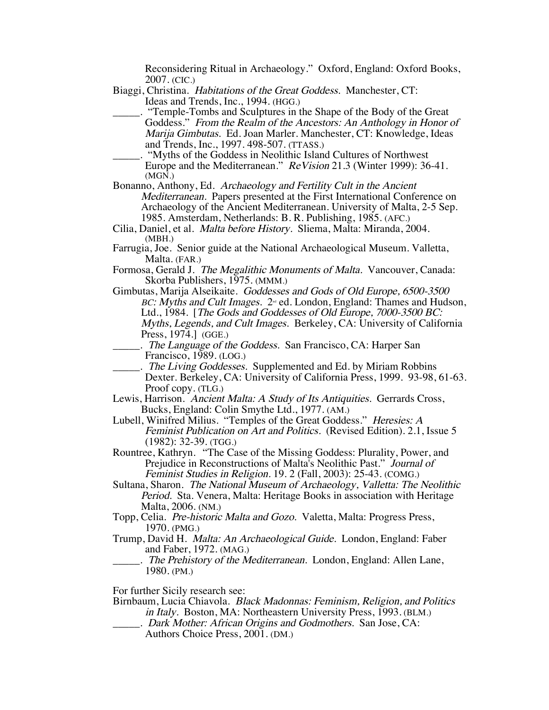Reconsidering Ritual in Archaeology." Oxford, England: Oxford Books, 2007. (CIC.)

- Biaggi, Christina. Habitations of the Great Goddess. Manchester, CT: Ideas and Trends, Inc., 1994. (HGG.)
	- \_\_\_\_\_. "Temple-Tombs and Sculptures in the Shape of the Body of the Great Goddess." From the Realm of the Ancestors: An Anthology in Honor of Marija Gimbutas. Ed. Joan Marler. Manchester, CT: Knowledge, Ideas and Trends, Inc., 1997. 498-507. (TTASS.)
	- \_\_\_\_\_. "Myths of the Goddess in Neolithic Island Cultures of Northwest Europe and the Mediterranean." ReVision 21.3 (Winter 1999): 36-41. (MGN.)
- Bonanno, Anthony, Ed. Archaeology and Fertility Cult in the Ancient Mediterranean. Papers presented at the First International Conference on Archaeology of the Ancient Mediterranean. University of Malta, 2-5 Sep. 1985. Amsterdam, Netherlands: B. R. Publishing, 1985. (AFC.)
- Cilia, Daniel, et al. Malta before History. Sliema, Malta: Miranda, 2004. (MBH.)
- Farrugia, Joe. Senior guide at the National Archaeological Museum. Valletta, Malta. (FAR.)
- Formosa, Gerald J. The Megalithic Monuments of Malta. Vancouver, Canada: Skorba Publishers, 1975. (MMM.)
- Gimbutas, Marija Alseikaite. Goddesses and Gods of Old Europe, 6500-3500 BC: Myths and Cult Images. 2<sup>nd</sup> ed. London, England: Thames and Hudson, Ltd., 1984. [The Gods and Goddesses of Old Europe, 7000-3500 BC: Myths, Legends, and Cult Images. Berkeley, CA: University of California Press, 1974.] (GGE.)
	- \_\_\_\_\_. The Language of the Goddess. San Francisco, CA: Harper San Francisco, 1989. (LOG.)
- ... The Living Goddesses. Supplemented and Ed. by Miriam Robbins Dexter. Berkeley, CA: University of California Press, 1999. 93-98, 61-63. Proof copy. (TLG.)
- Lewis, Harrison. Ancient Malta: A Study of Its Antiquities. Gerrards Cross, Bucks, England: Colin Smythe Ltd., 1977. (AM.)
- Lubell, Winifred Milius. "Temples of the Great Goddess." Heresies: A Feminist Publication on Art and Politics. (Revised Edition). 2.1, Issue 5 (1982): 32-39. (TGG.)
- Rountree, Kathryn. "The Case of the Missing Goddess: Plurality, Power, and Prejudice in Reconstructions of Malta's Neolithic Past." Journal of Feminist Studies in Religion. 19. 2 (Fall, 2003): 25-43. (COMG.)
- Sultana, Sharon. The National Museum of Archaeology, Valletta: The Neolithic Period. Sta. Venera, Malta: Heritage Books in association with Heritage Malta, 2006. (NM.)
- Topp, Celia. Pre-historic Malta and Gozo. Valetta, Malta: Progress Press, 1970. (PMG.)
- Trump, David H. Malta: An Archaeological Guide. London, England: Faber and Faber, 1972. (MAG.)
- . The Prehistory of the Mediterranean. London, England: Allen Lane, 1980. (PM.)

For further Sicily research see:

- Birnbaum, Lucia Chiavola. Black Madonnas: Feminism, Religion, and Politics in Italy. Boston, MA: Northeastern University Press, 1993. (BLM.)
	- \_\_\_\_\_. Dark Mother: African Origins and Godmothers. San Jose, CA: Authors Choice Press, 2001. (DM.)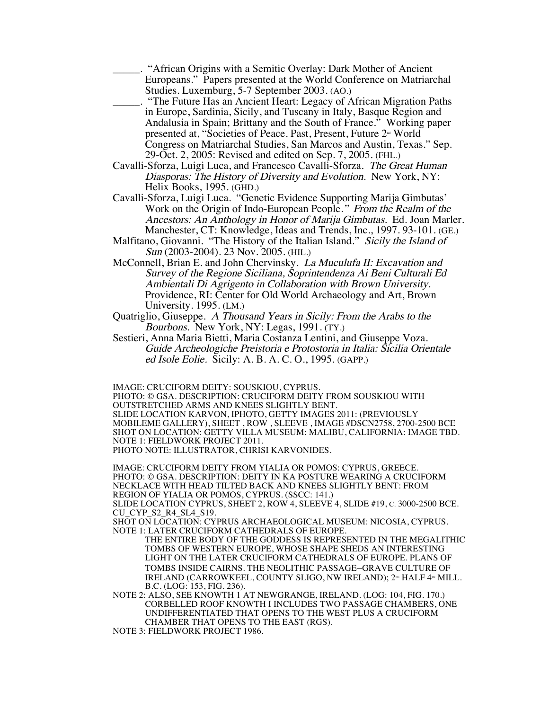\_\_\_\_\_. "African Origins with a Semitic Overlay: Dark Mother of Ancient Europeans." Papers presented at the World Conference on Matriarchal Studies. Luxemburg, 5-7 September 2003. (AO.)

\_\_\_\_\_. "The Future Has an Ancient Heart: Legacy of African Migration Paths in Europe, Sardinia, Sicily, and Tuscany in Italy, Basque Region and Andalusia in Spain; Brittany and the South of France." Working paper presented at, "Societies of Peace. Past, Present, Future  $2<sup>nd</sup>$  World Congress on Matriarchal Studies, San Marcos and Austin, Texas." Sep. 29-Oct. 2, 2005: Revised and edited on Sep. 7, 2005. (FHL.)

Cavalli-Sforza, Luigi Luca, and Francesco Cavalli-Sforza. The Great Human Diasporas: The History of Diversity and Evolution. New York, NY: Helix Books, 1995. (GHD.)

Cavalli-Sforza, Luigi Luca. "Genetic Evidence Supporting Marija Gimbutas' Work on the Origin of Indo-European People." From the Realm of the Ancestors: An Anthology in Honor of Marija Gimbutas. Ed. Joan Marler. Manchester, CT: Knowledge, Ideas and Trends, Inc., 1997. 93-101. (GE.)

Malfitano, Giovanni. "The History of the Italian Island." Sicily the Island of Sun (2003-2004). 23 Nov. 2005. (HIL.)

McConnell, Brian E. and John Chervinsky. La Muculufa II: Excavation and Survey of the Regione Siciliana, Soprintendenza Ai Beni Culturali Ed Ambientali Di Agrigento in Collaboration with Brown University. Providence, RI: Center for Old World Archaeology and Art, Brown University. 1995. (LM.)

Quatriglio, Giuseppe. A Thousand Years in Sicily: From the Arabs to the Bourbons. New York, NY: Legas, 1991. (TY.)

Sestieri, Anna Maria Bietti, Maria Costanza Lentini, and Giuseppe Voza. Guide Archeologiche Preistoria e Protostoria in Italia: Sicilia Orientale ed Isole Eolie. Sicily: A. B. A. C. O., 1995. (GAPP.)

IMAGE: CRUCIFORM DEITY: SOUSKIOU, CYPRUS.

PHOTO: © GSA. DESCRIPTION: CRUCIFORM DEITY FROM SOUSKIOU WITH OUTSTRETCHED ARMS AND KNEES SLIGHTLY BENT. SLIDE LOCATION KARVON, IPHOTO, GETTY IMAGES 2011: (PREVIOUSLY MOBILEME GALLERY), SHEET , ROW , SLEEVE , IMAGE #DSCN2758, 2700-2500 BCE SHOT ON LOCATION: GETTY VILLA MUSEUM: MALIBU, CALIFORNIA: IMAGE TBD. NOTE 1: FIELDWORK PROJECT 2011. PHOTO NOTE: ILLUSTRATOR, CHRISI KARVONIDES.

IMAGE: CRUCIFORM DEITY FROM YIALIA OR POMOS: CYPRUS, GREECE. PHOTO: © GSA. DESCRIPTION: DEITY IN KA POSTURE WEARING A CRUCIFORM NECKLACE WITH HEAD TILTED BACK AND KNEES SLIGHTLY BENT: FROM REGION OF YIALIA OR POMOS, CYPRUS. (SSCC: 141.)

SLIDE LOCATION CYPRUS, SHEET 2, ROW 4, SLEEVE 4, SLIDE #19, C. 3000-2500 BCE. CU\_CYP\_S2\_R4\_SL4\_S19.

SHOT ON LOCATION: CYPRUS ARCHAEOLOGICAL MUSEUM: NICOSIA, CYPRUS. NOTE 1: LATER CRUCIFORM CATHEDRALS OF EUROPE.

THE ENTIRE BODY OF THE GODDESS IS REPRESENTED IN THE MEGALITHIC TOMBS OF WESTERN EUROPE, WHOSE SHAPE SHEDS AN INTERESTING LIGHT ON THE LATER CRUCIFORM CATHEDRALS OF EUROPE. PLANS OF TOMBS INSIDE CAIRNS. THE NEOLITHIC PASSAGE–GRAVE CULTURE OF IRELAND (CARROWKEEL, COUNTY SLIGO, NW IRELAND); 2<sup>®</sup> HALF 4<sup>™</sup> MILL. B.C. (LOG: 153, FIG. 236).

NOTE 2: ALSO, SEE KNOWTH 1 AT NEWGRANGE, IRELAND. (LOG: 104, FIG. 170.) CORBELLED ROOF KNOWTH I INCLUDES TWO PASSAGE CHAMBERS, ONE UNDIFFERENTIATED THAT OPENS TO THE WEST PLUS A CRUCIFORM CHAMBER THAT OPENS TO THE EAST (RGS).

NOTE 3: FIELDWORK PROJECT 1986.